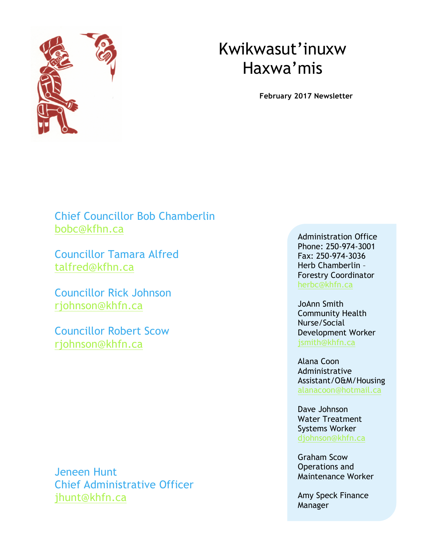

# Kwikwasut'inuxw Haxwa'mis

**February 2017 Newsletter** 

Chief Councillor Bob Chamberlin bobc@kfhn.ca

Councillor Tamara Alfred talfred@kfhn.ca

Councillor Rick Johnson rjohnson@khfn.ca

Councillor Robert Scow rjohnson@khfn.ca

Jeneen Hunt Chief Administrative Officer jhunt@khfn.ca

Administration Office Phone: 250-974-3001 Fax: 250-974-3036 Herb Chamberlin – Forestry Coordinator herbc@khfn.ca

JoAnn Smith Community Health Nurse/Social Development Worker jsmith@khfn.ca

Alana Coon Administrative Assistant/O&M/Housing alanacoon@hotmail.ca

Dave Johnson Water Treatment Systems Worker djohnson@khfn.ca

Graham Scow Operations and Maintenance Worker

Amy Speck Finance Manager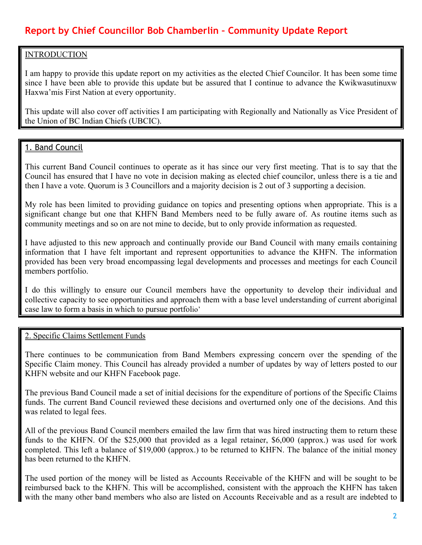# **Report by Chief Councillor Bob Chamberlin – Community Update Report**

### **INTRODUCTION**

I am happy to provide this update report on my activities as the elected Chief Councilor. It has been some time since I have been able to provide this update but be assured that I continue to advance the Kwikwasutinuxw Haxwa'mis First Nation at every opportunity.

This update will also cover off activities I am participating with Regionally and Nationally as Vice President of the Union of BC Indian Chiefs (UBCIC).

# 1. Band Council

This current Band Council continues to operate as it has since our very first meeting. That is to say that the Council has ensured that I have no vote in decision making as elected chief councilor, unless there is a tie and then I have a vote. Quorum is 3 Councillors and a majority decision is 2 out of 3 supporting a decision.

My role has been limited to providing guidance on topics and presenting options when appropriate. This is a significant change but one that KHFN Band Members need to be fully aware of. As routine items such as community meetings and so on are not mine to decide, but to only provide information as requested.

I have adjusted to this new approach and continually provide our Band Council with many emails containing information that I have felt important and represent opportunities to advance the KHFN. The information provided has been very broad encompassing legal developments and processes and meetings for each Council members portfolio.

I do this willingly to ensure our Council members have the opportunity to develop their individual and collective capacity to see opportunities and approach them with a base level understanding of current aboriginal case law to form a basis in which to pursue portfolio'

#### 2. Specific Claims Settlement Funds

There continues to be communication from Band Members expressing concern over the spending of the Specific Claim money. This Council has already provided a number of updates by way of letters posted to our KHFN website and our KHFN Facebook page.

The previous Band Council made a set of initial decisions for the expenditure of portions of the Specific Claims funds. The current Band Council reviewed these decisions and overturned only one of the decisions. And this was related to legal fees.

All of the previous Band Council members emailed the law firm that was hired instructing them to return these funds to the KHFN. Of the \$25,000 that provided as a legal retainer, \$6,000 (approx.) was used for work completed. This left a balance of \$19,000 (approx.) to be returned to KHFN. The balance of the initial money has been returned to the KHFN.

The used portion of the money will be listed as Accounts Receivable of the KHFN and will be sought to be reimbursed back to the KHFN. This will be accomplished, consistent with the approach the KHFN has taken with the many other band members who also are listed on Accounts Receivable and as a result are indebted to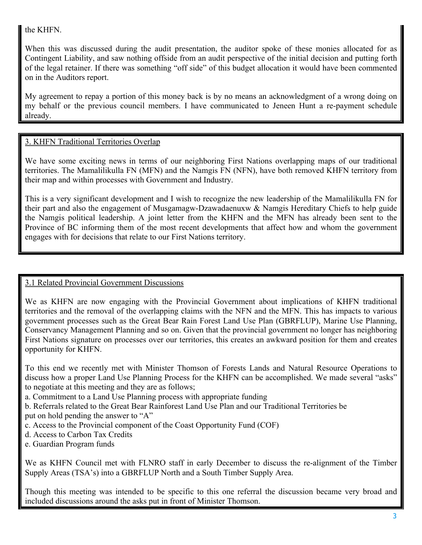# the KHFN.

When this was discussed during the audit presentation, the auditor spoke of these monies allocated for as Contingent Liability, and saw nothing offside from an audit perspective of the initial decision and putting forth of the legal retainer. If there was something "off side" of this budget allocation it would have been commented on in the Auditors report.

My agreement to repay a portion of this money back is by no means an acknowledgment of a wrong doing on my behalf or the previous council members. I have communicated to Jeneen Hunt a re-payment schedule already.

# 3. KHFN Traditional Territories Overlap

We have some exciting news in terms of our neighboring First Nations overlapping maps of our traditional territories. The Mamalilikulla FN (MFN) and the Namgis FN (NFN), have both removed KHFN territory from their map and within processes with Government and Industry.

This is a very significant development and I wish to recognize the new leadership of the Mamalilikulla FN for their part and also the engagement of Musgamagw-Dzawadaenuxw & Namgis Hereditary Chiefs to help guide the Namgis political leadership. A joint letter from the KHFN and the MFN has already been sent to the Province of BC informing them of the most recent developments that affect how and whom the government engages with for decisions that relate to our First Nations territory.

# 3.1 Related Provincial Government Discussions

We as KHFN are now engaging with the Provincial Government about implications of KHFN traditional territories and the removal of the overlapping claims with the NFN and the MFN. This has impacts to various government processes such as the Great Bear Rain Forest Land Use Plan (GBRFLUP), Marine Use Planning, Conservancy Management Planning and so on. Given that the provincial government no longer has neighboring First Nations signature on processes over our territories, this creates an awkward position for them and creates opportunity for KHFN.

To this end we recently met with Minister Thomson of Forests Lands and Natural Resource Operations to discuss how a proper Land Use Planning Process for the KHFN can be accomplished. We made several "asks" to negotiate at this meeting and they are as follows;

- a. Commitment to a Land Use Planning process with appropriate funding
- b. Referrals related to the Great Bear Rainforest Land Use Plan and our Traditional Territories be put on hold pending the answer to "A"
- c. Access to the Provincial component of the Coast Opportunity Fund (COF)
- d. Access to Carbon Tax Credits
- e. Guardian Program funds

We as KHFN Council met with FLNRO staff in early December to discuss the re-alignment of the Timber Supply Areas (TSA's) into a GBRFLUP North and a South Timber Supply Area.

Though this meeting was intended to be specific to this one referral the discussion became very broad and included discussions around the asks put in front of Minister Thomson.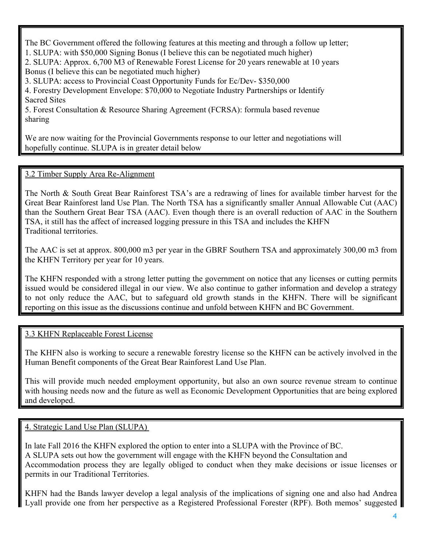The BC Government offered the following features at this meeting and through a follow up letter; 1. SLUPA: with \$50,000 Signing Bonus (I believe this can be negotiated much higher) 2. SLUPA: Approx. 6,700 M3 of Renewable Forest License for 20 years renewable at 10 years Bonus (I believe this can be negotiated much higher) 3. SLUPA: access to Provincial Coast Opportunity Funds for Ec/Dev- \$350,000 4. Forestry Development Envelope: \$70,000 to Negotiate Industry Partnerships or Identify Sacred Sites

5. Forest Consultation & Resource Sharing Agreement (FCRSA): formula based revenue sharing

We are now waiting for the Provincial Governments response to our letter and negotiations will hopefully continue. SLUPA is in greater detail below

#### 3.2 Timber Supply Area Re-Alignment

The North & South Great Bear Rainforest TSA's are a redrawing of lines for available timber harvest for the Great Bear Rainforest land Use Plan. The North TSA has a significantly smaller Annual Allowable Cut (AAC) than the Southern Great Bear TSA (AAC). Even though there is an overall reduction of AAC in the Southern TSA, it still has the affect of increased logging pressure in this TSA and includes the KHFN Traditional territories.

The AAC is set at approx. 800,000 m3 per year in the GBRF Southern TSA and approximately 300,00 m3 from the KHFN Territory per year for 10 years.

The KHFN responded with a strong letter putting the government on notice that any licenses or cutting permits issued would be considered illegal in our view. We also continue to gather information and develop a strategy to not only reduce the AAC, but to safeguard old growth stands in the KHFN. There will be significant reporting on this issue as the discussions continue and unfold between KHFN and BC Government.

#### 3.3 KHFN Replaceable Forest License

The KHFN also is working to secure a renewable forestry license so the KHFN can be actively involved in the Human Benefit components of the Great Bear Rainforest Land Use Plan.

This will provide much needed employment opportunity, but also an own source revenue stream to continue with housing needs now and the future as well as Economic Development Opportunities that are being explored and developed.

4. Strategic Land Use Plan (SLUPA)

In late Fall 2016 the KHFN explored the option to enter into a SLUPA with the Province of BC. A SLUPA sets out how the government will engage with the KHFN beyond the Consultation and Accommodation process they are legally obliged to conduct when they make decisions or issue licenses or permits in our Traditional Territories.

KHFN had the Bands lawyer develop a legal analysis of the implications of signing one and also had Andrea Lyall provide one from her perspective as a Registered Professional Forester (RPF). Both memos' suggested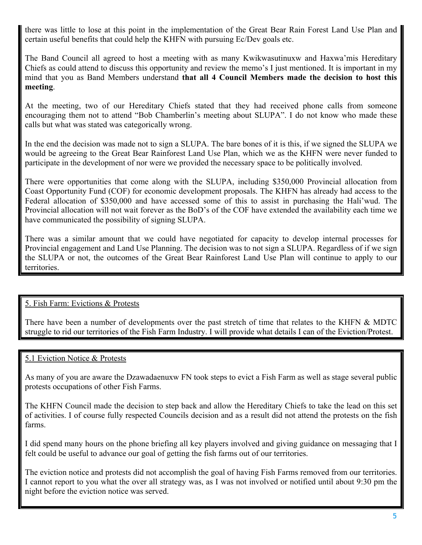there was little to lose at this point in the implementation of the Great Bear Rain Forest Land Use Plan and certain useful benefits that could help the KHFN with pursuing Ec/Dev goals etc.

The Band Council all agreed to host a meeting with as many Kwikwasutinuxw and Haxwa'mis Hereditary Chiefs as could attend to discuss this opportunity and review the memo's I just mentioned. It is important in my mind that you as Band Members understand **that all 4 Council Members made the decision to host this meeting**.

At the meeting, two of our Hereditary Chiefs stated that they had received phone calls from someone encouraging them not to attend "Bob Chamberlin's meeting about SLUPA". I do not know who made these calls but what was stated was categorically wrong.

In the end the decision was made not to sign a SLUPA. The bare bones of it is this, if we signed the SLUPA we would be agreeing to the Great Bear Rainforest Land Use Plan, which we as the KHFN were never funded to participate in the development of nor were we provided the necessary space to be politically involved.

There were opportunities that come along with the SLUPA, including \$350,000 Provincial allocation from Coast Opportunity Fund (COF) for economic development proposals. The KHFN has already had access to the Federal allocation of \$350,000 and have accessed some of this to assist in purchasing the Hali'wud. The Provincial allocation will not wait forever as the BoD's of the COF have extended the availability each time we have communicated the possibility of signing SLUPA.

There was a similar amount that we could have negotiated for capacity to develop internal processes for Provincial engagement and Land Use Planning. The decision was to not sign a SLUPA. Regardless of if we sign the SLUPA or not, the outcomes of the Great Bear Rainforest Land Use Plan will continue to apply to our territories.

# 5. Fish Farm: Evictions & Protests

There have been a number of developments over the past stretch of time that relates to the KHFN & MDTC struggle to rid our territories of the Fish Farm Industry. I will provide what details I can of the Eviction/Protest.

#### 5.1 Eviction Notice & Protests

As many of you are aware the Dzawadaenuxw FN took steps to evict a Fish Farm as well as stage several public protests occupations of other Fish Farms.

The KHFN Council made the decision to step back and allow the Hereditary Chiefs to take the lead on this set of activities. I of course fully respected Councils decision and as a result did not attend the protests on the fish farms.

I did spend many hours on the phone briefing all key players involved and giving guidance on messaging that I felt could be useful to advance our goal of getting the fish farms out of our territories.

The eviction notice and protests did not accomplish the goal of having Fish Farms removed from our territories. I cannot report to you what the over all strategy was, as I was not involved or notified until about 9:30 pm the night before the eviction notice was served.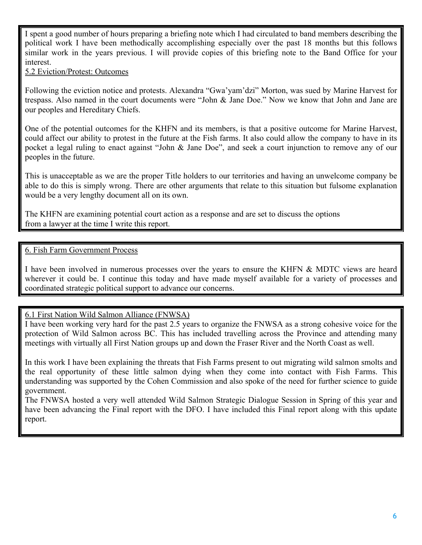I spent a good number of hours preparing a briefing note which I had circulated to band members describing the political work I have been methodically accomplishing especially over the past 18 months but this follows similar work in the years previous. I will provide copies of this briefing note to the Band Office for your interest.

#### 5.2 Eviction/Protest: Outcomes

Following the eviction notice and protests. Alexandra "Gwa'yam'dzi" Morton, was sued by Marine Harvest for trespass. Also named in the court documents were "John & Jane Doe." Now we know that John and Jane are our peoples and Hereditary Chiefs.

One of the potential outcomes for the KHFN and its members, is that a positive outcome for Marine Harvest, could affect our ability to protest in the future at the Fish farms. It also could allow the company to have in its pocket a legal ruling to enact against "John & Jane Doe", and seek a court injunction to remove any of our peoples in the future.

This is unacceptable as we are the proper Title holders to our territories and having an unwelcome company be able to do this is simply wrong. There are other arguments that relate to this situation but fulsome explanation would be a very lengthy document all on its own.

The KHFN are examining potential court action as a response and are set to discuss the options from a lawyer at the time I write this report.

#### 6. Fish Farm Government Process

I have been involved in numerous processes over the years to ensure the KHFN & MDTC views are heard wherever it could be. I continue this today and have made myself available for a variety of processes and coordinated strategic political support to advance our concerns.

# 6.1 First Nation Wild Salmon Alliance (FNWSA)

I have been working very hard for the past 2.5 years to organize the FNWSA as a strong cohesive voice for the protection of Wild Salmon across BC. This has included travelling across the Province and attending many meetings with virtually all First Nation groups up and down the Fraser River and the North Coast as well.

In this work I have been explaining the threats that Fish Farms present to out migrating wild salmon smolts and the real opportunity of these little salmon dying when they come into contact with Fish Farms. This understanding was supported by the Cohen Commission and also spoke of the need for further science to guide government.

The FNWSA hosted a very well attended Wild Salmon Strategic Dialogue Session in Spring of this year and have been advancing the Final report with the DFO. I have included this Final report along with this update report.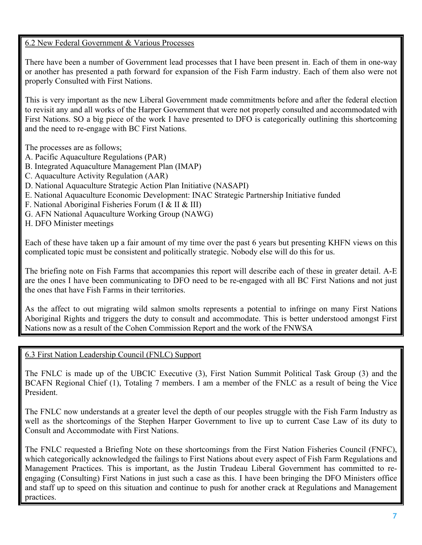# 6.2 New Federal Government & Various Processes

There have been a number of Government lead processes that I have been present in. Each of them in one-way or another has presented a path forward for expansion of the Fish Farm industry. Each of them also were not properly Consulted with First Nations.

This is very important as the new Liberal Government made commitments before and after the federal election to revisit any and all works of the Harper Government that were not properly consulted and accommodated with First Nations. SO a big piece of the work I have presented to DFO is categorically outlining this shortcoming and the need to re-engage with BC First Nations.

The processes are as follows;

- A. Pacific Aquaculture Regulations (PAR)
- B. Integrated Aquaculture Management Plan (IMAP)
- C. Aquaculture Activity Regulation (AAR)
- D. National Aquaculture Strategic Action Plan Initiative (NASAPI)
- E. National Aquaculture Economic Development: INAC Strategic Partnership Initiative funded
- F. National Aboriginal Fisheries Forum (I & II & III)
- G. AFN National Aquaculture Working Group (NAWG)
- H. DFO Minister meetings

Each of these have taken up a fair amount of my time over the past 6 years but presenting KHFN views on this complicated topic must be consistent and politically strategic. Nobody else will do this for us.

The briefing note on Fish Farms that accompanies this report will describe each of these in greater detail. A-E are the ones I have been communicating to DFO need to be re-engaged with all BC First Nations and not just the ones that have Fish Farms in their territories.

As the affect to out migrating wild salmon smolts represents a potential to infringe on many First Nations Aboriginal Rights and triggers the duty to consult and accommodate. This is better understood amongst First Nations now as a result of the Cohen Commission Report and the work of the FNWSA

#### 6.3 First Nation Leadership Council (FNLC) Support

The FNLC is made up of the UBCIC Executive (3), First Nation Summit Political Task Group (3) and the BCAFN Regional Chief (1), Totaling 7 members. I am a member of the FNLC as a result of being the Vice President.

The FNLC now understands at a greater level the depth of our peoples struggle with the Fish Farm Industry as well as the shortcomings of the Stephen Harper Government to live up to current Case Law of its duty to Consult and Accommodate with First Nations.

The FNLC requested a Briefing Note on these shortcomings from the First Nation Fisheries Council (FNFC), which categorically acknowledged the failings to First Nations about every aspect of Fish Farm Regulations and Management Practices. This is important, as the Justin Trudeau Liberal Government has committed to reengaging (Consulting) First Nations in just such a case as this. I have been bringing the DFO Ministers office and staff up to speed on this situation and continue to push for another crack at Regulations and Management practices.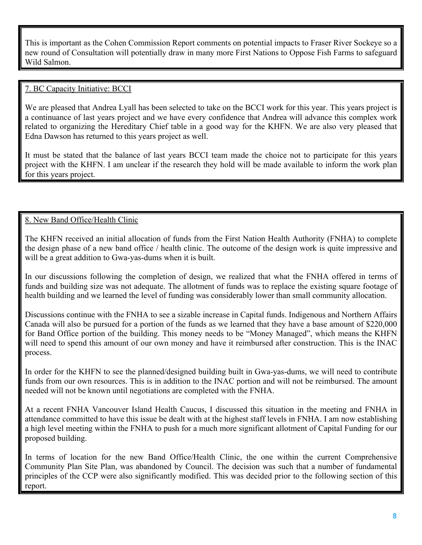This is important as the Cohen Commission Report comments on potential impacts to Fraser River Sockeye so a new round of Consultation will potentially draw in many more First Nations to Oppose Fish Farms to safeguard Wild Salmon.

# 7. BC Capacity Initiative: BCCI

We are pleased that Andrea Lyall has been selected to take on the BCCI work for this year. This years project is a continuance of last years project and we have every confidence that Andrea will advance this complex work related to organizing the Hereditary Chief table in a good way for the KHFN. We are also very pleased that Edna Dawson has returned to this years project as well.

It must be stated that the balance of last years BCCI team made the choice not to participate for this years project with the KHFN. I am unclear if the research they hold will be made available to inform the work plan for this years project.

# 8. New Band Office/Health Clinic

The KHFN received an initial allocation of funds from the First Nation Health Authority (FNHA) to complete the design phase of a new band office / health clinic. The outcome of the design work is quite impressive and will be a great addition to Gwa-yas-dums when it is built.

In our discussions following the completion of design, we realized that what the FNHA offered in terms of funds and building size was not adequate. The allotment of funds was to replace the existing square footage of health building and we learned the level of funding was considerably lower than small community allocation.

Discussions continue with the FNHA to see a sizable increase in Capital funds. Indigenous and Northern Affairs Canada will also be pursued for a portion of the funds as we learned that they have a base amount of \$220,000 for Band Office portion of the building. This money needs to be "Money Managed", which means the KHFN will need to spend this amount of our own money and have it reimbursed after construction. This is the INAC process.

In order for the KHFN to see the planned/designed building built in Gwa-yas-dums, we will need to contribute funds from our own resources. This is in addition to the INAC portion and will not be reimbursed. The amount needed will not be known until negotiations are completed with the FNHA.

At a recent FNHA Vancouver Island Health Caucus, I discussed this situation in the meeting and FNHA in attendance committed to have this issue be dealt with at the highest staff levels in FNHA. I am now establishing a high level meeting within the FNHA to push for a much more significant allotment of Capital Funding for our proposed building.

In terms of location for the new Band Office/Health Clinic, the one within the current Comprehensive Community Plan Site Plan, was abandoned by Council. The decision was such that a number of fundamental principles of the CCP were also significantly modified. This was decided prior to the following section of this report.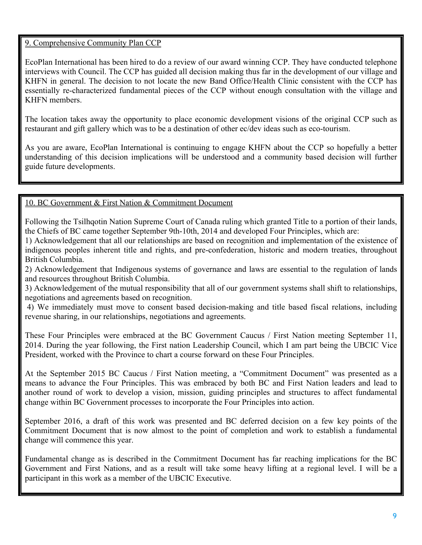# 9. Comprehensive Community Plan CCP

EcoPlan International has been hired to do a review of our award winning CCP. They have conducted telephone interviews with Council. The CCP has guided all decision making thus far in the development of our village and KHFN in general. The decision to not locate the new Band Office/Health Clinic consistent with the CCP has essentially re-characterized fundamental pieces of the CCP without enough consultation with the village and KHFN members.

The location takes away the opportunity to place economic development visions of the original CCP such as restaurant and gift gallery which was to be a destination of other ec/dev ideas such as eco-tourism.

As you are aware, EcoPlan International is continuing to engage KHFN about the CCP so hopefully a better understanding of this decision implications will be understood and a community based decision will further guide future developments.

# 10. BC Government & First Nation & Commitment Document

Following the Tsilhqotin Nation Supreme Court of Canada ruling which granted Title to a portion of their lands, the Chiefs of BC came together September 9th-10th, 2014 and developed Four Principles, which are:

1) Acknowledgement that all our relationships are based on recognition and implementation of the existence of indigenous peoples inherent title and rights, and pre-confederation, historic and modern treaties, throughout British Columbia.

2) Acknowledgement that Indigenous systems of governance and laws are essential to the regulation of lands and resources throughout British Columbia.

3) Acknowledgement of the mutual responsibility that all of our government systems shall shift to relationships, negotiations and agreements based on recognition.

4) We immediately must move to consent based decision-making and title based fiscal relations, including revenue sharing, in our relationships, negotiations and agreements.

These Four Principles were embraced at the BC Government Caucus / First Nation meeting September 11, 2014. During the year following, the First nation Leadership Council, which I am part being the UBCIC Vice President, worked with the Province to chart a course forward on these Four Principles.

At the September 2015 BC Caucus / First Nation meeting, a "Commitment Document" was presented as a means to advance the Four Principles. This was embraced by both BC and First Nation leaders and lead to another round of work to develop a vision, mission, guiding principles and structures to affect fundamental change within BC Government processes to incorporate the Four Principles into action.

September 2016, a draft of this work was presented and BC deferred decision on a few key points of the Commitment Document that is now almost to the point of completion and work to establish a fundamental change will commence this year.

Fundamental change as is described in the Commitment Document has far reaching implications for the BC Government and First Nations, and as a result will take some heavy lifting at a regional level. I will be a participant in this work as a member of the UBCIC Executive.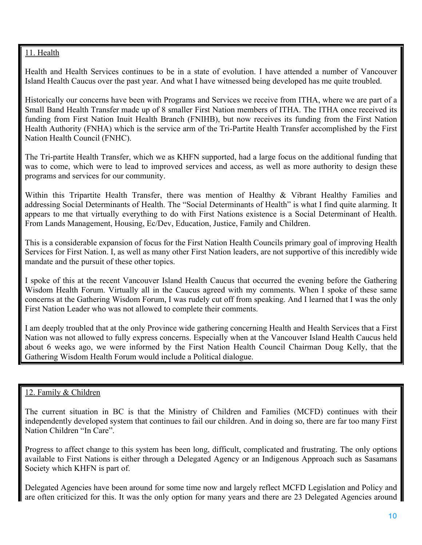# 11. Health

Health and Health Services continues to be in a state of evolution. I have attended a number of Vancouver Island Health Caucus over the past year. And what I have witnessed being developed has me quite troubled.

Historically our concerns have been with Programs and Services we receive from ITHA, where we are part of a Small Band Health Transfer made up of 8 smaller First Nation members of ITHA. The ITHA once received its funding from First Nation Inuit Health Branch (FNIHB), but now receives its funding from the First Nation Health Authority (FNHA) which is the service arm of the Tri-Partite Health Transfer accomplished by the First Nation Health Council (FNHC).

The Tri-partite Health Transfer, which we as KHFN supported, had a large focus on the additional funding that was to come, which were to lead to improved services and access, as well as more authority to design these programs and services for our community.

Within this Tripartite Health Transfer, there was mention of Healthy & Vibrant Healthy Families and addressing Social Determinants of Health. The "Social Determinants of Health" is what I find quite alarming. It appears to me that virtually everything to do with First Nations existence is a Social Determinant of Health. From Lands Management, Housing, Ec/Dev, Education, Justice, Family and Children.

This is a considerable expansion of focus for the First Nation Health Councils primary goal of improving Health Services for First Nation. I, as well as many other First Nation leaders, are not supportive of this incredibly wide mandate and the pursuit of these other topics.

I spoke of this at the recent Vancouver Island Health Caucus that occurred the evening before the Gathering Wisdom Health Forum. Virtually all in the Caucus agreed with my comments. When I spoke of these same concerns at the Gathering Wisdom Forum, I was rudely cut off from speaking. And I learned that I was the only First Nation Leader who was not allowed to complete their comments.

I am deeply troubled that at the only Province wide gathering concerning Health and Health Services that a First Nation was not allowed to fully express concerns. Especially when at the Vancouver Island Health Caucus held about 6 weeks ago, we were informed by the First Nation Health Council Chairman Doug Kelly, that the Gathering Wisdom Health Forum would include a Political dialogue.

#### 12. Family & Children

The current situation in BC is that the Ministry of Children and Families (MCFD) continues with their independently developed system that continues to fail our children. And in doing so, there are far too many First Nation Children "In Care".

Progress to affect change to this system has been long, difficult, complicated and frustrating. The only options available to First Nations is either through a Delegated Agency or an Indigenous Approach such as Sasamans Society which KHFN is part of.

Delegated Agencies have been around for some time now and largely reflect MCFD Legislation and Policy and are often criticized for this. It was the only option for many years and there are 23 Delegated Agencies around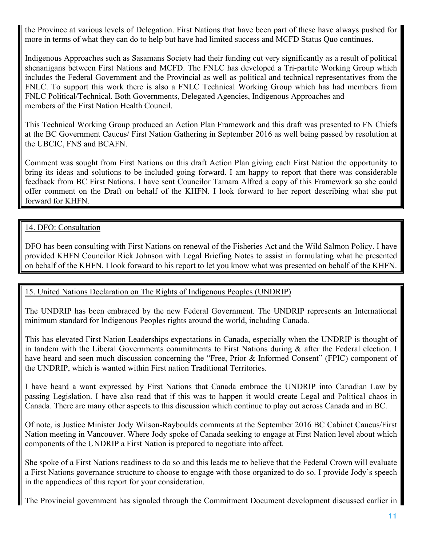the Province at various levels of Delegation. First Nations that have been part of these have always pushed for more in terms of what they can do to help but have had limited success and MCFD Status Quo continues.

Indigenous Approaches such as Sasamans Society had their funding cut very significantly as a result of political shenanigans between First Nations and MCFD. The FNLC has developed a Tri-partite Working Group which includes the Federal Government and the Provincial as well as political and technical representatives from the FNLC. To support this work there is also a FNLC Technical Working Group which has had members from FNLC Political/Technical. Both Governments, Delegated Agencies, Indigenous Approaches and members of the First Nation Health Council.

This Technical Working Group produced an Action Plan Framework and this draft was presented to FN Chiefs at the BC Government Caucus/ First Nation Gathering in September 2016 as well being passed by resolution at the UBCIC, FNS and BCAFN.

Comment was sought from First Nations on this draft Action Plan giving each First Nation the opportunity to bring its ideas and solutions to be included going forward. I am happy to report that there was considerable feedback from BC First Nations. I have sent Councilor Tamara Alfred a copy of this Framework so she could offer comment on the Draft on behalf of the KHFN. I look forward to her report describing what she put forward for KHFN.

# 14. DFO: Consultation

DFO has been consulting with First Nations on renewal of the Fisheries Act and the Wild Salmon Policy. I have provided KHFN Councilor Rick Johnson with Legal Briefing Notes to assist in formulating what he presented on behalf of the KHFN. I look forward to his report to let you know what was presented on behalf of the KHFN.

# 15. United Nations Declaration on The Rights of Indigenous Peoples (UNDRIP)

The UNDRIP has been embraced by the new Federal Government. The UNDRIP represents an International minimum standard for Indigenous Peoples rights around the world, including Canada.

This has elevated First Nation Leaderships expectations in Canada, especially when the UNDRIP is thought of in tandem with the Liberal Governments commitments to First Nations during  $\&$  after the Federal election. I have heard and seen much discussion concerning the "Free, Prior & Informed Consent" (FPIC) component of the UNDRIP, which is wanted within First nation Traditional Territories.

I have heard a want expressed by First Nations that Canada embrace the UNDRIP into Canadian Law by passing Legislation. I have also read that if this was to happen it would create Legal and Political chaos in Canada. There are many other aspects to this discussion which continue to play out across Canada and in BC.

Of note, is Justice Minister Jody Wilson-Rayboulds comments at the September 2016 BC Cabinet Caucus/First Nation meeting in Vancouver. Where Jody spoke of Canada seeking to engage at First Nation level about which components of the UNDRIP a First Nation is prepared to negotiate into affect.

She spoke of a First Nations readiness to do so and this leads me to believe that the Federal Crown will evaluate a First Nations governance structure to choose to engage with those organized to do so. I provide Jody's speech in the appendices of this report for your consideration.

The Provincial government has signaled through the Commitment Document development discussed earlier in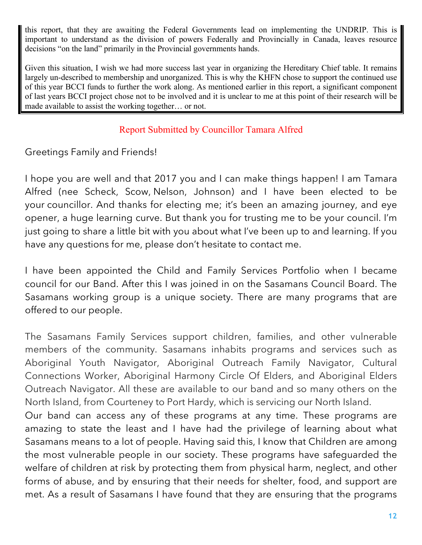this report, that they are awaiting the Federal Governments lead on implementing the UNDRIP. This is important to understand as the division of powers Federally and Provincially in Canada, leaves resource decisions "on the land" primarily in the Provincial governments hands.

Given this situation, I wish we had more success last year in organizing the Hereditary Chief table. It remains largely un-described to membership and unorganized. This is why the KHFN chose to support the continued use of this year BCCI funds to further the work along. As mentioned earlier in this report, a significant component of last years BCCI project chose not to be involved and it is unclear to me at this point of their research will be made available to assist the working together… or not.

# Report Submitted by Councillor Tamara Alfred

Greetings Family and Friends!

I hope you are well and that 2017 you and I can make things happen! I am Tamara Alfred (nee Scheck, Scow, Nelson, Johnson) and I have been elected to be your councillor. And thanks for electing me; it's been an amazing journey, and eye opener, a huge learning curve. But thank you for trusting me to be your council. I'm just going to share a little bit with you about what I've been up to and learning. If you have any questions for me, please don't hesitate to contact me.

I have been appointed the Child and Family Services Portfolio when I became council for our Band. After this I was joined in on the Sasamans Council Board. The Sasamans working group is a unique society. There are many programs that are offered to our people.

The Sasamans Family Services support children, families, and other vulnerable members of the community. Sasamans inhabits programs and services such as Aboriginal Youth Navigator, Aboriginal Outreach Family Navigator, Cultural Connections Worker, Aboriginal Harmony Circle Of Elders, and Aboriginal Elders Outreach Navigator. All these are available to our band and so many others on the North Island, from Courteney to Port Hardy, which is servicing our North Island.

Our band can access any of these programs at any time. These programs are amazing to state the least and I have had the privilege of learning about what Sasamans means to a lot of people. Having said this, I know that Children are among the most vulnerable people in our society. These programs have safeguarded the welfare of children at risk by protecting them from physical harm, neglect, and other forms of abuse, and by ensuring that their needs for shelter, food, and support are met. As a result of Sasamans I have found that they are ensuring that the programs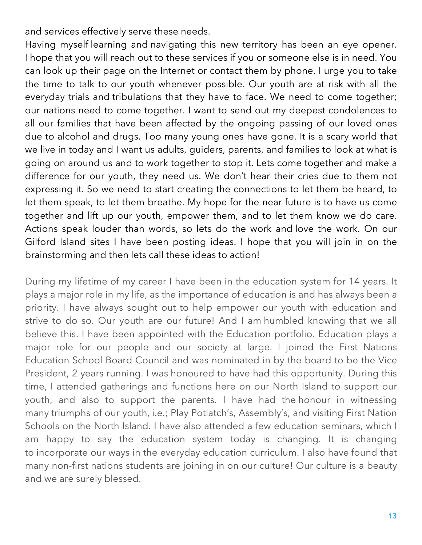and services effectively serve these needs.

Having myself learning and navigating this new territory has been an eye opener. I hope that you will reach out to these services if you or someone else is in need. You can look up their page on the Internet or contact them by phone. I urge you to take the time to talk to our youth whenever possible. Our youth are at risk with all the everyday trials and tribulations that they have to face. We need to come together; our nations need to come together. I want to send out my deepest condolences to all our families that have been affected by the ongoing passing of our loved ones due to alcohol and drugs. Too many young ones have gone. It is a scary world that we live in today and I want us adults, guiders, parents, and families to look at what is going on around us and to work together to stop it. Lets come together and make a difference for our youth, they need us. We don't hear their cries due to them not expressing it. So we need to start creating the connections to let them be heard, to let them speak, to let them breathe. My hope for the near future is to have us come together and lift up our youth, empower them, and to let them know we do care. Actions speak louder than words, so lets do the work and love the work. On our Gilford Island sites I have been posting ideas. I hope that you will join in on the brainstorming and then lets call these ideas to action!

During my lifetime of my career I have been in the education system for 14 years. It plays a major role in my life, as the importance of education is and has always been a priority. I have always sought out to help empower our youth with education and strive to do so. Our youth are our future! And I am humbled knowing that we all believe this. I have been appointed with the Education portfolio. Education plays a major role for our people and our society at large. I joined the First Nations Education School Board Council and was nominated in by the board to be the Vice President, 2 years running. I was honoured to have had this opportunity. During this time, I attended gatherings and functions here on our North Island to support our youth, and also to support the parents. I have had the honour in witnessing many triumphs of our youth, i.e.; Play Potlatch's, Assembly's, and visiting First Nation Schools on the North Island. I have also attended a few education seminars, which I am happy to say the education system today is changing. It is changing to incorporate our ways in the everyday education curriculum. I also have found that many non-first nations students are joining in on our culture! Our culture is a beauty and we are surely blessed.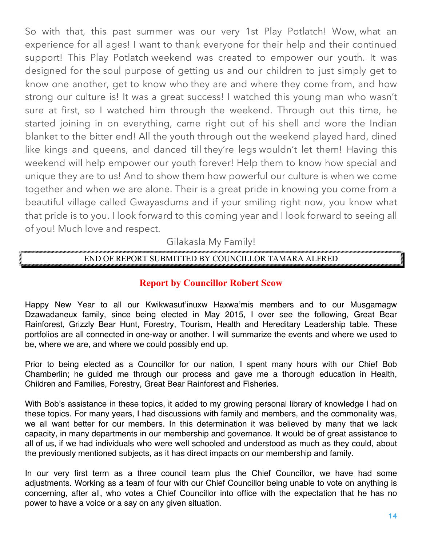So with that, this past summer was our very 1st Play Potlatch! Wow, what an experience for all ages! I want to thank everyone for their help and their continued support! This Play Potlatch weekend was created to empower our youth. It was designed for the soul purpose of getting us and our children to just simply get to know one another, get to know who they are and where they come from, and how strong our culture is! It was a great success! I watched this young man who wasn't sure at first, so I watched him through the weekend. Through out this time, he started joining in on everything, came right out of his shell and wore the Indian blanket to the bitter end! All the youth through out the weekend played hard, dined like kings and queens, and danced till they're legs wouldn't let them! Having this weekend will help empower our youth forever! Help them to know how special and unique they are to us! And to show them how powerful our culture is when we come together and when we are alone. Their is a great pride in knowing you come from a beautiful village called Gwayasdums and if your smiling right now, you know what that pride is to you. I look forward to this coming year and I look forward to seeing all of you! Much love and respect.

Gilakasla My Family!

# END OF REPORT SUBMITTED BY COUNCILLOR TAMARA ALFRED

# **Report by Councillor Robert Scow**

Happy New Year to all our Kwikwasut'inuxw Haxwa'mis members and to our Musgamagw Dzawadaneux family, since being elected in May 2015, I over see the following, Great Bear Rainforest, Grizzly Bear Hunt, Forestry, Tourism, Health and Hereditary Leadership table. These portfolios are all connected in one-way or another. I will summarize the events and where we used to be, where we are, and where we could possibly end up.

Prior to being elected as a Councillor for our nation, I spent many hours with our Chief Bob Chamberlin; he guided me through our process and gave me a thorough education in Health, Children and Families, Forestry, Great Bear Rainforest and Fisheries.

With Bob's assistance in these topics, it added to my growing personal library of knowledge I had on these topics. For many years, I had discussions with family and members, and the commonality was, we all want better for our members. In this determination it was believed by many that we lack capacity, in many departments in our membership and governance. It would be of great assistance to all of us, if we had individuals who were well schooled and understood as much as they could, about the previously mentioned subjects, as it has direct impacts on our membership and family.

In our very first term as a three council team plus the Chief Councillor, we have had some adjustments. Working as a team of four with our Chief Councillor being unable to vote on anything is concerning, after all, who votes a Chief Councillor into office with the expectation that he has no power to have a voice or a say on any given situation.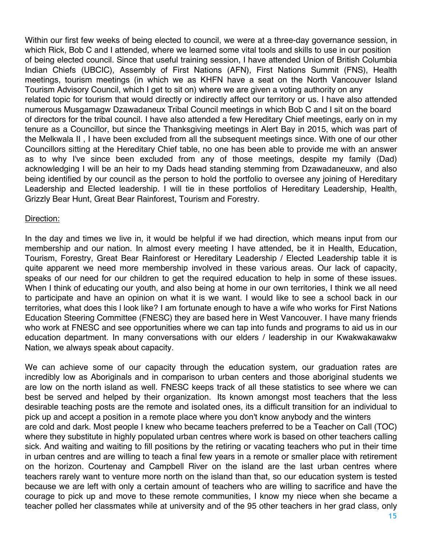Within our first few weeks of being elected to council, we were at a three-day governance session, in which Rick, Bob C and I attended, where we learned some vital tools and skills to use in our position of being elected council. Since that useful training session, I have attended Union of British Columbia Indian Chiefs (UBCIC), Assembly of First Nations (AFN), First Nations Summit (FNS), Health meetings, tourism meetings (in which we as KHFN have a seat on the North Vancouver Island Tourism Advisory Council, which I get to sit on) where we are given a voting authority on any related topic for tourism that would directly or indirectly affect our territory or us. I have also attended numerous Musgamagw Dzawadaneux Tribal Council meetings in which Bob C and I sit on the board of directors for the tribal council. I have also attended a few Hereditary Chief meetings, early on in my tenure as a Councillor, but since the Thanksgiving meetings in Alert Bay in 2015, which was part of the Melkwala II , I have been excluded from all the subsequent meetings since. With one of our other Councillors sitting at the Hereditary Chief table, no one has been able to provide me with an answer as to why I've since been excluded from any of those meetings, despite my family (Dad) acknowledging I will be an heir to my Dads head standing stemming from Dzawadaneuxw, and also being identified by our council as the person to hold the portfolio to oversee any joining of Hereditary Leadership and Elected leadership. I will tie in these portfolios of Hereditary Leadership, Health, Grizzly Bear Hunt, Great Bear Rainforest, Tourism and Forestry.

#### Direction:

In the day and times we live in, it would be helpful if we had direction, which means input from our membership and our nation. In almost every meeting I have attended, be it in Health, Education, Tourism, Forestry, Great Bear Rainforest or Hereditary Leadership / Elected Leadership table it is quite apparent we need more membership involved in these various areas. Our lack of capacity, speaks of our need for our children to get the required education to help in some of these issues. When I think of educating our youth, and also being at home in our own territories, I think we all need to participate and have an opinion on what it is we want. I would like to see a school back in our territories, what does this l look like? I am fortunate enough to have a wife who works for First Nations Education Steering Committee (FNESC) they are based here in West Vancouver. I have many friends who work at FNESC and see opportunities where we can tap into funds and programs to aid us in our education department. In many conversations with our elders / leadership in our Kwakwakawakw Nation, we always speak about capacity.

We can achieve some of our capacity through the education system, our graduation rates are incredibly low as Aboriginals and in comparison to urban centers and those aboriginal students we are low on the north island as well. FNESC keeps track of all these statistics to see where we can best be served and helped by their organization. Its known amongst most teachers that the less desirable teaching posts are the remote and isolated ones, its a difficult transition for an individual to pick up and accept a position in a remote place where you don't know anybody and the winters are cold and dark. Most people I knew who became teachers preferred to be a Teacher on Call (TOC) where they substitute in highly populated urban centres where work is based on other teachers calling sick. And waiting and waiting to fill positions by the retiring or vacating teachers who put in their time in urban centres and are willing to teach a final few years in a remote or smaller place with retirement on the horizon. Courtenay and Campbell River on the island are the last urban centres where teachers rarely want to venture more north on the island than that, so our education system is tested because we are left with only a certain amount of teachers who are willing to sacrifice and have the courage to pick up and move to these remote communities, I know my niece when she became a teacher polled her classmates while at university and of the 95 other teachers in her grad class, only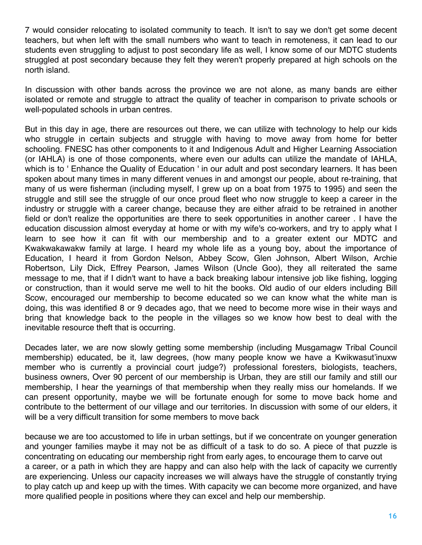7 would consider relocating to isolated community to teach. It isn't to say we don't get some decent teachers, but when left with the small numbers who want to teach in remoteness, it can lead to our students even struggling to adjust to post secondary life as well, I know some of our MDTC students struggled at post secondary because they felt they weren't properly prepared at high schools on the north island.

In discussion with other bands across the province we are not alone, as many bands are either isolated or remote and struggle to attract the quality of teacher in comparison to private schools or well-populated schools in urban centres.

But in this day in age, there are resources out there, we can utilize with technology to help our kids who struggle in certain subjects and struggle with having to move away from home for better schooling. FNESC has other components to it and Indigenous Adult and Higher Learning Association (or IAHLA) is one of those components, where even our adults can utilize the mandate of IAHLA, which is to ' Enhance the Quality of Education ' in our adult and post secondary learners. It has been spoken about many times in many different venues in and amongst our people, about re-training, that many of us were fisherman (including myself, I grew up on a boat from 1975 to 1995) and seen the struggle and still see the struggle of our once proud fleet who now struggle to keep a career in the industry or struggle with a career change, because they are either afraid to be retrained in another field or don't realize the opportunities are there to seek opportunities in another career . I have the education discussion almost everyday at home or with my wife's co-workers, and try to apply what I learn to see how it can fit with our membership and to a greater extent our MDTC and Kwakwakawakw family at large. I heard my whole life as a young boy, about the importance of Education, I heard it from Gordon Nelson, Abbey Scow, Glen Johnson, Albert Wilson, Archie Robertson, Lily Dick, Effrey Pearson, James Wilson (Uncle Goo), they all reiterated the same message to me, that if I didn't want to have a back breaking labour intensive job like fishing, logging or construction, than it would serve me well to hit the books. Old audio of our elders including Bill Scow, encouraged our membership to become educated so we can know what the white man is doing, this was identified 8 or 9 decades ago, that we need to become more wise in their ways and bring that knowledge back to the people in the villages so we know how best to deal with the inevitable resource theft that is occurring.

Decades later, we are now slowly getting some membership (including Musgamagw Tribal Council membership) educated, be it, law degrees, (how many people know we have a Kwikwasut'inuxw member who is currently a provincial court judge?) professional foresters, biologists, teachers, business owners, Over 90 percent of our membership is Urban, they are still our family and still our membership, I hear the yearnings of that membership when they really miss our homelands. If we can present opportunity, maybe we will be fortunate enough for some to move back home and contribute to the betterment of our village and our territories. In discussion with some of our elders, it will be a very difficult transition for some members to move back

because we are too accustomed to life in urban settings, but if we concentrate on younger generation and younger families maybe it may not be as difficult of a task to do so. A piece of that puzzle is concentrating on educating our membership right from early ages, to encourage them to carve out a career, or a path in which they are happy and can also help with the lack of capacity we currently are experiencing. Unless our capacity increases we will always have the struggle of constantly trying to play catch up and keep up with the times. With capacity we can become more organized, and have more qualified people in positions where they can excel and help our membership.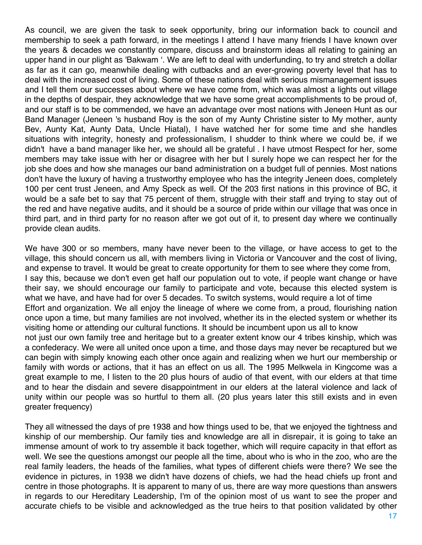As council, we are given the task to seek opportunity, bring our information back to council and membership to seek a path forward, in the meetings I attend I have many friends I have known over the years & decades we constantly compare, discuss and brainstorm ideas all relating to gaining an upper hand in our plight as 'Bakwam '. We are left to deal with underfunding, to try and stretch a dollar as far as it can go, meanwhile dealing with cutbacks and an ever-growing poverty level that has to deal with the increased cost of living. Some of these nations deal with serious mismanagement issues and I tell them our successes about where we have come from, which was almost a lights out village in the depths of despair, they acknowledge that we have some great accomplishments to be proud of, and our staff is to be commended, we have an advantage over most nations with Jeneen Hunt as our Band Manager (Jeneen 's husband Roy is the son of my Aunty Christine sister to My mother, aunty Bev, Aunty Kat, Aunty Data, Uncle Hiatal), I have watched her for some time and she handles situations with integrity, honesty and professionalism, I shudder to think where we could be, if we didn't have a band manager like her, we should all be grateful . I have utmost Respect for her, some members may take issue with her or disagree with her but I surely hope we can respect her for the job she does and how she manages our band administration on a budget full of pennies. Most nations don't have the luxury of having a trustworthy employee who has the integrity Jeneen does, completely 100 per cent trust Jeneen, and Amy Speck as well. Of the 203 first nations in this province of BC, it would be a safe bet to say that 75 percent of them, struggle with their staff and trying to stay out of the red and have negative audits, and it should be a source of pride within our village that was once in third part, and in third party for no reason after we got out of it, to present day where we continually provide clean audits.

We have 300 or so members, many have never been to the village, or have access to get to the village, this should concern us all, with members living in Victoria or Vancouver and the cost of living, and expense to travel. It would be great to create opportunity for them to see where they come from, I say this, because we don't even get half our population out to vote, if people want change or have their say, we should encourage our family to participate and vote, because this elected system is what we have, and have had for over 5 decades. To switch systems, would require a lot of time Effort and organization. We all enjoy the lineage of where we come from, a proud, flourishing nation once upon a time, but many families are not involved, whether its in the elected system or whether its visiting home or attending our cultural functions. It should be incumbent upon us all to know not just our own family tree and heritage but to a greater extent know our 4 tribes kinship, which was a confederacy. We were all united once upon a time, and those days may never be recaptured but we can begin with simply knowing each other once again and realizing when we hurt our membership or family with words or actions, that it has an effect on us all. The 1995 Melkwela in Kingcome was a great example to me, I listen to the 20 plus hours of audio of that event, with our elders at that time and to hear the disdain and severe disappointment in our elders at the lateral violence and lack of unity within our people was so hurtful to them all. (20 plus years later this still exists and in even greater frequency)

They all witnessed the days of pre 1938 and how things used to be, that we enjoyed the tightness and kinship of our membership. Our family ties and knowledge are all in disrepair, it is going to take an immense amount of work to try assemble it back together, which will require capacity in that effort as well. We see the questions amongst our people all the time, about who is who in the zoo, who are the real family leaders, the heads of the families, what types of different chiefs were there? We see the evidence in pictures, in 1938 we didn't have dozens of chiefs, we had the head chiefs up front and centre in those photographs. It is apparent to many of us, there are way more questions than answers in regards to our Hereditary Leadership, I'm of the opinion most of us want to see the proper and accurate chiefs to be visible and acknowledged as the true heirs to that position validated by other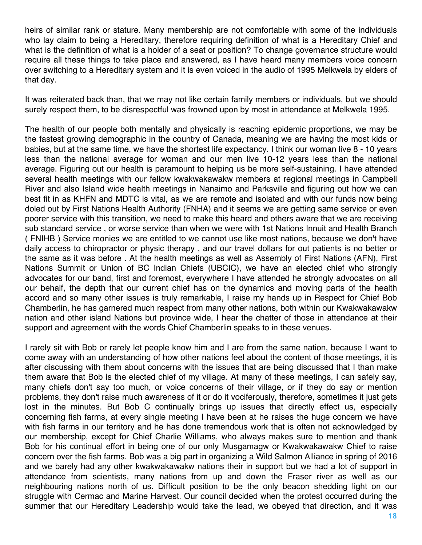heirs of similar rank or stature. Many membership are not comfortable with some of the individuals who lay claim to being a Hereditary, therefore requiring definition of what is a Hereditary Chief and what is the definition of what is a holder of a seat or position? To change governance structure would require all these things to take place and answered, as I have heard many members voice concern over switching to a Hereditary system and it is even voiced in the audio of 1995 Melkwela by elders of that day.

It was reiterated back than, that we may not like certain family members or individuals, but we should surely respect them, to be disrespectful was frowned upon by most in attendance at Melkwela 1995.

The health of our people both mentally and physically is reaching epidemic proportions, we may be the fastest growing demographic in the country of Canada, meaning we are having the most kids or babies, but at the same time, we have the shortest life expectancy. I think our woman live 8 - 10 years less than the national average for woman and our men live 10-12 years less than the national average. Figuring out our health is paramount to helping us be more self-sustaining. I have attended several health meetings with our fellow kwakwakawakw members at regional meetings in Campbell River and also Island wide health meetings in Nanaimo and Parksville and figuring out how we can best fit in as KHFN and MDTC is vital, as we are remote and isolated and with our funds now being doled out by First Nations Health Authority (FNHA) and it seems we are getting same service or even poorer service with this transition, we need to make this heard and others aware that we are receiving sub standard service , or worse service than when we were with 1st Nations Innuit and Health Branch ( FNIHB ) Service monies we are entitled to we cannot use like most nations, because we don't have daily access to chiropractor or physic therapy , and our travel dollars for out patients is no better or the same as it was before . At the health meetings as well as Assembly of First Nations (AFN), First Nations Summit or Union of BC Indian Chiefs (UBCIC), we have an elected chief who strongly advocates for our band, first and foremost, everywhere I have attended he strongly advocates on all our behalf, the depth that our current chief has on the dynamics and moving parts of the health accord and so many other issues is truly remarkable, I raise my hands up in Respect for Chief Bob Chamberlin, he has garnered much respect from many other nations, both within our Kwakwakawakw nation and other island Nations but province wide, I hear the chatter of those in attendance at their support and agreement with the words Chief Chamberlin speaks to in these venues.

I rarely sit with Bob or rarely let people know him and I are from the same nation, because I want to come away with an understanding of how other nations feel about the content of those meetings, it is after discussing with them about concerns with the issues that are being discussed that I than make them aware that Bob is the elected chief of my village. At many of these meetings, I can safely say, many chiefs don't say too much, or voice concerns of their village, or if they do say or mention problems, they don't raise much awareness of it or do it vociferously, therefore, sometimes it just gets lost in the minutes. But Bob C continually brings up issues that directly effect us, especially concerning fish farms, at every single meeting I have been at he raises the huge concern we have with fish farms in our territory and he has done tremendous work that is often not acknowledged by our membership, except for Chief Charlie Williams, who always makes sure to mention and thank Bob for his continual effort in being one of our only Musgamagw or Kwakwakawakw Chief to raise concern over the fish farms. Bob was a big part in organizing a Wild Salmon Alliance in spring of 2016 and we barely had any other kwakwakawakw nations their in support but we had a lot of support in attendance from scientists, many nations from up and down the Fraser river as well as our neighbouring nations north of us. Difficult position to be the only beacon shedding light on our struggle with Cermac and Marine Harvest. Our council decided when the protest occurred during the summer that our Hereditary Leadership would take the lead, we obeyed that direction, and it was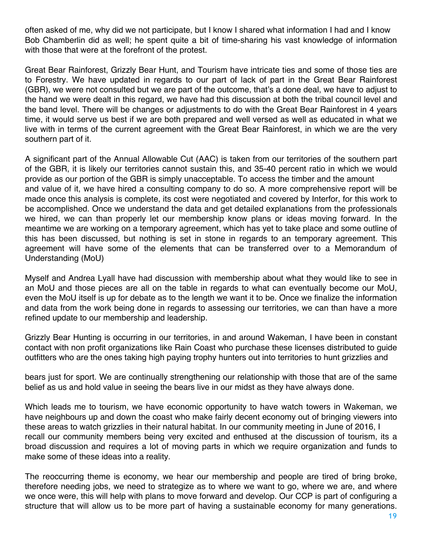often asked of me, why did we not participate, but I know I shared what information I had and I know Bob Chamberlin did as well; he spent quite a bit of time-sharing his vast knowledge of information with those that were at the forefront of the protest.

Great Bear Rainforest, Grizzly Bear Hunt, and Tourism have intricate ties and some of those ties are to Forestry. We have updated in regards to our part of lack of part in the Great Bear Rainforest (GBR), we were not consulted but we are part of the outcome, that's a done deal, we have to adjust to the hand we were dealt in this regard, we have had this discussion at both the tribal council level and the band level. There will be changes or adjustments to do with the Great Bear Rainforest in 4 years time, it would serve us best if we are both prepared and well versed as well as educated in what we live with in terms of the current agreement with the Great Bear Rainforest, in which we are the very southern part of it.

A significant part of the Annual Allowable Cut (AAC) is taken from our territories of the southern part of the GBR, it is likely our territories cannot sustain this, and 35-40 percent ratio in which we would provide as our portion of the GBR is simply unacceptable. To access the timber and the amount and value of it, we have hired a consulting company to do so. A more comprehensive report will be made once this analysis is complete, its cost were negotiated and covered by Interfor, for this work to be accomplished. Once we understand the data and get detailed explanations from the professionals we hired, we can than properly let our membership know plans or ideas moving forward. In the meantime we are working on a temporary agreement, which has yet to take place and some outline of this has been discussed, but nothing is set in stone in regards to an temporary agreement. This agreement will have some of the elements that can be transferred over to a Memorandum of Understanding (MoU)

Myself and Andrea Lyall have had discussion with membership about what they would like to see in an MoU and those pieces are all on the table in regards to what can eventually become our MoU, even the MoU itself is up for debate as to the length we want it to be. Once we finalize the information and data from the work being done in regards to assessing our territories, we can than have a more refined update to our membership and leadership.

Grizzly Bear Hunting is occurring in our territories, in and around Wakeman, I have been in constant contact with non profit organizations like Rain Coast who purchase these licenses distributed to guide outfitters who are the ones taking high paying trophy hunters out into territories to hunt grizzlies and

bears just for sport. We are continually strengthening our relationship with those that are of the same belief as us and hold value in seeing the bears live in our midst as they have always done.

Which leads me to tourism, we have economic opportunity to have watch towers in Wakeman, we have neighbours up and down the coast who make fairly decent economy out of bringing viewers into these areas to watch grizzlies in their natural habitat. In our community meeting in June of 2016, I recall our community members being very excited and enthused at the discussion of tourism, its a broad discussion and requires a lot of moving parts in which we require organization and funds to make some of these ideas into a reality.

The reoccurring theme is economy, we hear our membership and people are tired of bring broke, therefore needing jobs, we need to strategize as to where we want to go, where we are, and where we once were, this will help with plans to move forward and develop. Our CCP is part of configuring a structure that will allow us to be more part of having a sustainable economy for many generations.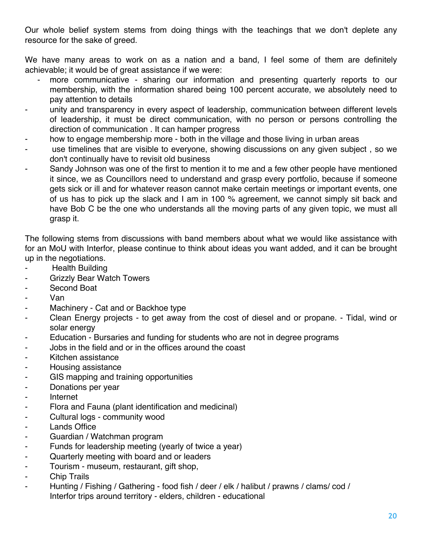Our whole belief system stems from doing things with the teachings that we don't deplete any resource for the sake of greed.

We have many areas to work on as a nation and a band, I feel some of them are definitely achievable; it would be of great assistance if we were:

- more communicative sharing our information and presenting quarterly reports to our membership, with the information shared being 100 percent accurate, we absolutely need to pay attention to details
- unity and transparency in every aspect of leadership, communication between different levels of leadership, it must be direct communication, with no person or persons controlling the direction of communication . It can hamper progress
- how to engage membership more both in the village and those living in urban areas
- use timelines that are visible to everyone, showing discussions on any given subject, so we don't continually have to revisit old business
- Sandy Johnson was one of the first to mention it to me and a few other people have mentioned it since, we as Councillors need to understand and grasp every portfolio, because if someone gets sick or ill and for whatever reason cannot make certain meetings or important events, one of us has to pick up the slack and I am in 100 % agreement, we cannot simply sit back and have Bob C be the one who understands all the moving parts of any given topic, we must all grasp it.

The following stems from discussions with band members about what we would like assistance with for an MoU with Interfor, please continue to think about ideas you want added, and it can be brought up in the negotiations.

- Health Building
- Grizzly Bear Watch Towers
- Second Boat
- Van
- Machinery Cat and or Backhoe type
- Clean Energy projects to get away from the cost of diesel and or propane. Tidal, wind or solar energy
- Education Bursaries and funding for students who are not in degree programs
- Jobs in the field and or in the offices around the coast
- Kitchen assistance
- Housing assistance
- GIS mapping and training opportunities
- Donations per year
- Internet
- Flora and Fauna (plant identification and medicinal)
- Cultural logs community wood
- Lands Office
- Guardian / Watchman program
- Funds for leadership meeting (yearly of twice a year)
- Quarterly meeting with board and or leaders
- Tourism museum, restaurant, gift shop,
- Chip Trails
- Hunting / Fishing / Gathering food fish / deer / elk / halibut / prawns / clams/ cod / Interfor trips around territory - elders, children - educational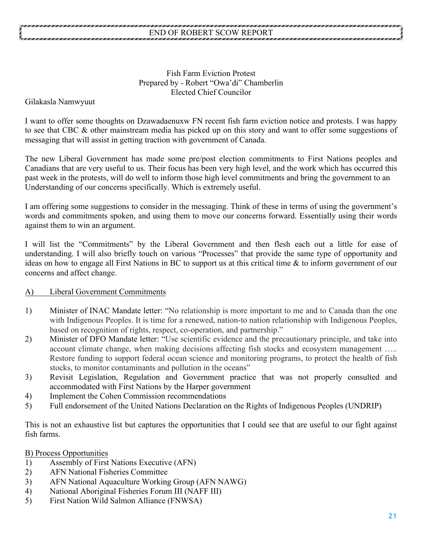## Fish Farm Eviction Protest Prepared by - Robert "Owa'di" Chamberlin Elected Chief Councilor

Gilakasla Namwyuut

I want to offer some thoughts on Dzawadaenuxw FN recent fish farm eviction notice and protests. I was happy to see that CBC & other mainstream media has picked up on this story and want to offer some suggestions of messaging that will assist in getting traction with government of Canada.

The new Liberal Government has made some pre/post election commitments to First Nations peoples and Canadians that are very useful to us. Their focus has been very high level, and the work which has occurred this past week in the protests, will do well to inform those high level commitments and bring the government to an Understanding of our concerns specifically. Which is extremely useful.

I am offering some suggestions to consider in the messaging. Think of these in terms of using the government's words and commitments spoken, and using them to move our concerns forward. Essentially using their words against them to win an argument.

I will list the "Commitments" by the Liberal Government and then flesh each out a little for ease of understanding. I will also briefly touch on various "Processes" that provide the same type of opportunity and ideas on how to engage all First Nations in BC to support us at this critical time & to inform government of our concerns and affect change.

#### A) Liberal Government Commitments

- 1) Minister of INAC Mandate letter: "No relationship is more important to me and to Canada than the one with Indigenous Peoples. It is time for a renewed, nation-to nation relationship with Indigenous Peoples, based on recognition of rights, respect, co-operation, and partnership."
- 2) Minister of DFO Mandate letter: "Use scientific evidence and the precautionary principle, and take into account climate change, when making decisions affecting fish stocks and ecosystem management ….. Restore funding to support federal ocean science and monitoring programs, to protect the health of fish stocks, to monitor contaminants and pollution in the oceans"
- 3) Revisit Legislation, Regulation and Government practice that was not properly consulted and accommodated with First Nations by the Harper government
- 4) Implement the Cohen Commission recommendations
- 5) Full endorsement of the United Nations Declaration on the Rights of Indigenous Peoples (UNDRIP)

This is not an exhaustive list but captures the opportunities that I could see that are useful to our fight against fish farms.

B) Process Opportunities

- 1) Assembly of First Nations Executive (AFN)
- 2) AFN National Fisheries Committee
- 3) AFN National Aquaculture Working Group (AFN NAWG)
- 4) National Aboriginal Fisheries Forum III (NAFF III)
- 5) First Nation Wild Salmon Alliance (FNWSA)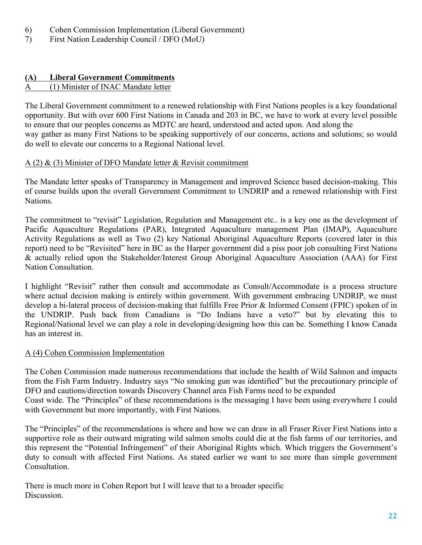- 6) Cohen Commission Implementation (Liberal Government)
- 7) First Nation Leadership Council / DFO (MoU)

# **(A) Liberal Government Commitments**

# A (1) Minister of INAC Mandate letter

The Liberal Government commitment to a renewed relationship with First Nations peoples is a key foundational opportunity. But with over 600 First Nations in Canada and 203 in BC, we have to work at every level possible to ensure that our peoples concerns as MDTC are heard, understood and acted upon. And along the way gather as many First Nations to be speaking supportively of our concerns, actions and solutions; so would do well to elevate our concerns to a Regional National level.

# A (2)  $\&$  (3) Minister of DFO Mandate letter  $\&$  Revisit commitment

The Mandate letter speaks of Transparency in Management and improved Science based decision-making. This of course builds upon the overall Government Commitment to UNDRIP and a renewed relationship with First Nations.

The commitment to "revisit" Legislation, Regulation and Management etc.. is a key one as the development of Pacific Aquaculture Regulations (PAR), Integrated Aquaculture management Plan (IMAP), Aquaculture Activity Regulations as well as Two (2) key National Aboriginal Aquaculture Reports (covered later in this report) need to be "Revisited" here in BC as the Harper government did a piss poor job consulting First Nations & actually relied upon the Stakeholder/Interest Group Aboriginal Aquaculture Association (AAA) for First Nation Consultation.

I highlight "Revisit" rather then consult and accommodate as Consult/Accommodate is a process structure where actual decision making is entirely within government. With government embracing UNDRIP, we must develop a bi-lateral process of decision-making that fulfills Free Prior & Informed Consent (FPIC) spoken of in the UNDRIP. Push back from Canadians is "Do Indians have a veto?" but by elevating this to Regional/National level we can play a role in developing/designing how this can be. Something I know Canada has an interest in.

# A (4) Cohen Commission Implementation

The Cohen Commission made numerous recommendations that include the health of Wild Salmon and impacts from the Fish Farm Industry. Industry says "No smoking gun was identified" but the precautionary principle of DFO and cautions/direction towards Discovery Channel area Fish Farms need to be expanded Coast wide. The "Principles" of these recommendations is the messaging I have been using everywhere I could with Government but more importantly, with First Nations.

The "Principles" of the recommendations is where and how we can draw in all Fraser River First Nations into a supportive role as their outward migrating wild salmon smolts could die at the fish farms of our territories, and this represent the "Potential Infringement" of their Aboriginal Rights which. Which triggers the Government's duty to consult with affected First Nations. As stated earlier we want to see more than simple government Consultation.

There is much more in Cohen Report but I will leave that to a broader specific **Discussion**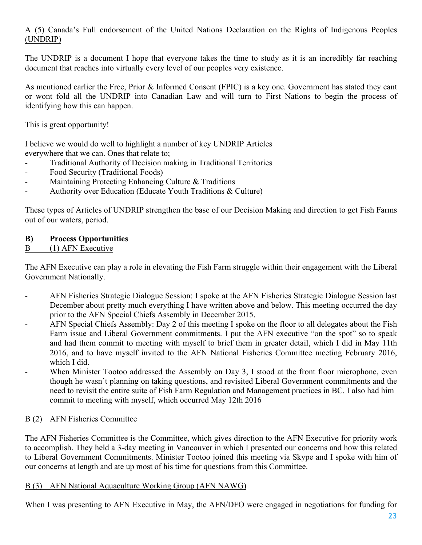# A (5) Canada's Full endorsement of the United Nations Declaration on the Rights of Indigenous Peoples (UNDRIP)

The UNDRIP is a document I hope that everyone takes the time to study as it is an incredibly far reaching document that reaches into virtually every level of our peoples very existence.

As mentioned earlier the Free, Prior & Informed Consent (FPIC) is a key one. Government has stated they cant or wont fold all the UNDRIP into Canadian Law and will turn to First Nations to begin the process of identifying how this can happen.

This is great opportunity!

I believe we would do well to highlight a number of key UNDRIP Articles everywhere that we can. Ones that relate to;

- Traditional Authority of Decision making in Traditional Territories
- Food Security (Traditional Foods)
- Maintaining Protecting Enhancing Culture & Traditions
- Authority over Education (Educate Youth Traditions & Culture)

These types of Articles of UNDRIP strengthen the base of our Decision Making and direction to get Fish Farms out of our waters, period.

# **B) Process Opportunities**

#### B (1) AFN Executive

The AFN Executive can play a role in elevating the Fish Farm struggle within their engagement with the Liberal Government Nationally.

- AFN Fisheries Strategic Dialogue Session: I spoke at the AFN Fisheries Strategic Dialogue Session last December about pretty much everything I have written above and below. This meeting occurred the day prior to the AFN Special Chiefs Assembly in December 2015.
- AFN Special Chiefs Assembly: Day 2 of this meeting I spoke on the floor to all delegates about the Fish Farm issue and Liberal Government commitments. I put the AFN executive "on the spot" so to speak and had them commit to meeting with myself to brief them in greater detail, which I did in May 11th 2016, and to have myself invited to the AFN National Fisheries Committee meeting February 2016, which I did.
- When Minister Tootoo addressed the Assembly on Day 3, I stood at the front floor microphone, even though he wasn't planning on taking questions, and revisited Liberal Government commitments and the need to revisit the entire suite of Fish Farm Regulation and Management practices in BC. I also had him commit to meeting with myself, which occurred May 12th 2016

# B (2) AFN Fisheries Committee

The AFN Fisheries Committee is the Committee, which gives direction to the AFN Executive for priority work to accomplish. They held a 3-day meeting in Vancouver in which I presented our concerns and how this related to Liberal Government Commitments. Minister Tootoo joined this meeting via Skype and I spoke with him of our concerns at length and ate up most of his time for questions from this Committee.

#### B (3) AFN National Aquaculture Working Group (AFN NAWG)

When I was presenting to AFN Executive in May, the AFN/DFO were engaged in negotiations for funding for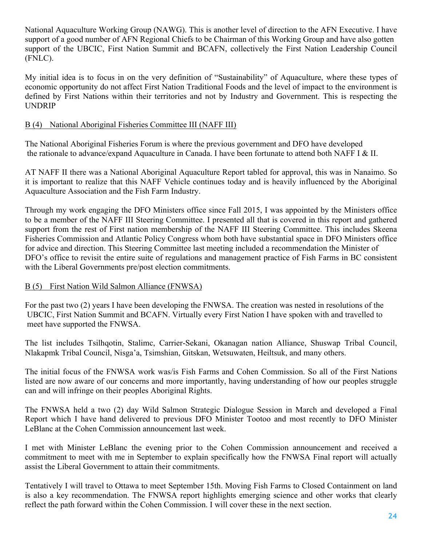National Aquaculture Working Group (NAWG). This is another level of direction to the AFN Executive. I have support of a good number of AFN Regional Chiefs to be Chairman of this Working Group and have also gotten support of the UBCIC, First Nation Summit and BCAFN, collectively the First Nation Leadership Council (FNLC).

My initial idea is to focus in on the very definition of "Sustainability" of Aquaculture, where these types of economic opportunity do not affect First Nation Traditional Foods and the level of impact to the environment is defined by First Nations within their territories and not by Industry and Government. This is respecting the UNDRIP

# B (4) National Aboriginal Fisheries Committee III (NAFF III)

The National Aboriginal Fisheries Forum is where the previous government and DFO have developed the rationale to advance/expand Aquaculture in Canada. I have been fortunate to attend both NAFF I & II.

AT NAFF II there was a National Aboriginal Aquaculture Report tabled for approval, this was in Nanaimo. So it is important to realize that this NAFF Vehicle continues today and is heavily influenced by the Aboriginal Aquaculture Association and the Fish Farm Industry.

Through my work engaging the DFO Ministers office since Fall 2015, I was appointed by the Ministers office to be a member of the NAFF III Steering Committee. I presented all that is covered in this report and gathered support from the rest of First nation membership of the NAFF III Steering Committee. This includes Skeena Fisheries Commission and Atlantic Policy Congress whom both have substantial space in DFO Ministers office for advice and direction. This Steering Committee last meeting included a recommendation the Minister of DFO's office to revisit the entire suite of regulations and management practice of Fish Farms in BC consistent with the Liberal Governments pre/post election commitments.

#### B (5) First Nation Wild Salmon Alliance (FNWSA)

For the past two (2) years I have been developing the FNWSA. The creation was nested in resolutions of the UBCIC, First Nation Summit and BCAFN. Virtually every First Nation I have spoken with and travelled to meet have supported the FNWSA.

The list includes Tsilhqotin, Stalimc, Carrier-Sekani, Okanagan nation Alliance, Shuswap Tribal Council, Nlakapmk Tribal Council, Nisga'a, Tsimshian, Gitskan, Wetsuwaten, Heiltsuk, and many others.

The initial focus of the FNWSA work was/is Fish Farms and Cohen Commission. So all of the First Nations listed are now aware of our concerns and more importantly, having understanding of how our peoples struggle can and will infringe on their peoples Aboriginal Rights.

The FNWSA held a two (2) day Wild Salmon Strategic Dialogue Session in March and developed a Final Report which I have hand delivered to previous DFO Minister Tootoo and most recently to DFO Minister LeBlanc at the Cohen Commission announcement last week.

I met with Minister LeBlanc the evening prior to the Cohen Commission announcement and received a commitment to meet with me in September to explain specifically how the FNWSA Final report will actually assist the Liberal Government to attain their commitments.

Tentatively I will travel to Ottawa to meet September 15th. Moving Fish Farms to Closed Containment on land is also a key recommendation. The FNWSA report highlights emerging science and other works that clearly reflect the path forward within the Cohen Commission. I will cover these in the next section.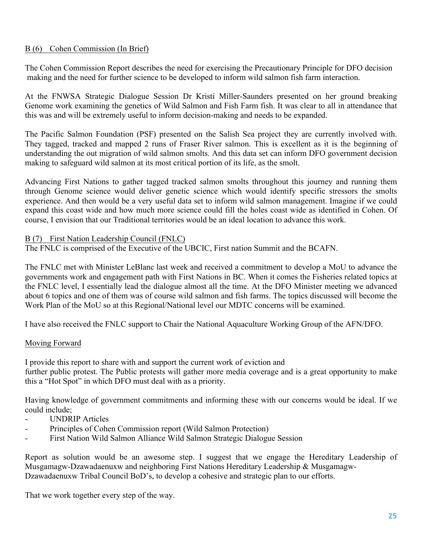## B (6) Cohen Commission (In Brief)

The Cohen Commission Report describes the need for exercising the Precautionary Principle for DFO decision making and the need for further science to be developed to inform wild salmon fish farm interaction.

At the FNWSA Strategic Dialogue Session Dr Kristi Miller-Saunders presented on her ground breaking Genome work examining the genetics of Wild Salmon and Fish Farm fish. It was clear to all in attendance that this was and will be extremely useful to inform decision-making and needs to be expanded.

The Pacific Salmon Foundation (PSF) presented on the Salish Sea project they are currently involved with. They tagged, tracked and mapped 2 runs of Fraser River salmon. This is excellent as it is the beginning of understanding the out migration of wild salmon smolts. And this data set can inform DFO government decision making to safeguard wild salmon at its most critical portion of its life, as the smolt.

Advancing First Nations to gather tagged tracked salmon smolts throughout this journey and running them through Genome science would deliver genetic science which would identify specific stressors the smolts experience. And then would be a very useful data set to inform wild salmon management. Imagine if we could expand this coast wide and how much more science could fill the holes coast wide as identified in Cohen. Of course, I envision that our Traditional territories would be an ideal location to advance this work.

#### B (7) First Nation Leadership Council (FNLC)

The FNLC is comprised of the Executive of the UBCIC, First nation Summit and the BCAFN.

The FNLC met with Minister LeBlanc last week and received a commitment to develop a MoU to advance the governments work and engagement path with First Nations in BC. When it comes the Fisheries related topics at the FNLC level, I essentially lead the dialogue almost all the time. At the DFO Minister meeting we advanced about 6 topics and one of them was of course wild salmon and fish farms. The topics discussed will become the Work Plan of the MoU so at this Regional/National level our MDTC concerns will be examined.

I have also received the FNLC support to Chair the National Aquaculture Working Group of the AFN/DFO.

#### Moving Forward

I provide this report to share with and support the current work of eviction and further public protest. The Public protests will gather more media coverage and is a great opportunity to make this a "Hot Spot" in which DFO must deal with as a priority.

Having knowledge of government commitments and informing these with our concerns would be ideal. If we could include;

- UNDRIP Articles
- Principles of Cohen Commission report (Wild Salmon Protection)
- First Nation Wild Salmon Alliance Wild Salmon Strategic Dialogue Session

Report as solution would be an awesome step. I suggest that we engage the Hereditary Leadership of Musgamagw-Dzawadaenuxw and neighboring First Nations Hereditary Leadership & Musgamagw-Dzawadaenuxw Tribal Council BoD's, to develop a cohesive and strategic plan to our efforts.

That we work together every step of the way.